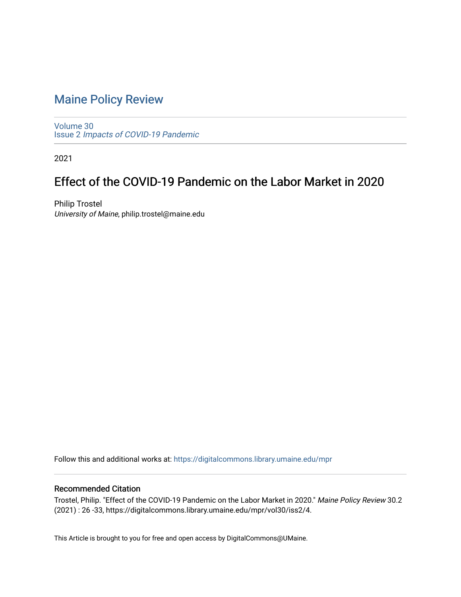## [Maine Policy Review](https://digitalcommons.library.umaine.edu/mpr)

[Volume 30](https://digitalcommons.library.umaine.edu/mpr/vol30) Issue 2 [Impacts of COVID-19 Pandemic](https://digitalcommons.library.umaine.edu/mpr/vol30/iss2)

2021

## Effect of the COVID-19 Pandemic on the Labor Market in 2020

Philip Trostel University of Maine, philip.trostel@maine.edu

Follow this and additional works at: [https://digitalcommons.library.umaine.edu/mpr](https://digitalcommons.library.umaine.edu/mpr?utm_source=digitalcommons.library.umaine.edu%2Fmpr%2Fvol30%2Fiss2%2F4&utm_medium=PDF&utm_campaign=PDFCoverPages)

### Recommended Citation

Trostel, Philip. "Effect of the COVID-19 Pandemic on the Labor Market in 2020." Maine Policy Review 30.2 (2021) : 26 -33, https://digitalcommons.library.umaine.edu/mpr/vol30/iss2/4.

This Article is brought to you for free and open access by DigitalCommons@UMaine.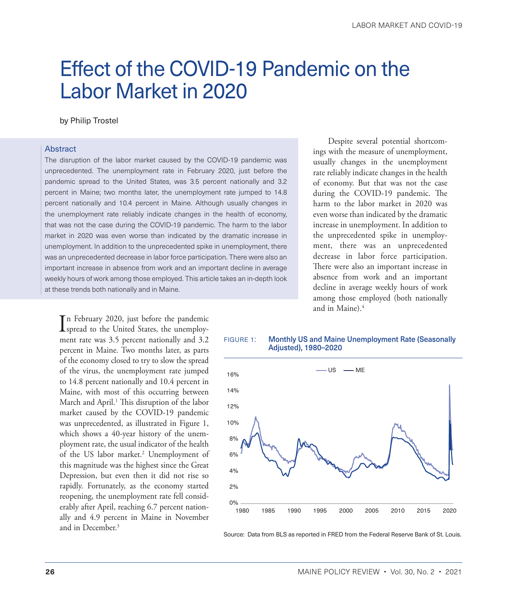# <span id="page-1-0"></span>Effect of the COVID-19 Pandemic on the Labor Market in 2020

#### by Philip Trostel

#### Abstract

The disruption of the labor market caused by the COVID-19 pandemic was unprecedented. The unemployment rate in February 2020, just before the pandemic spread to the United States, was 3.5 percent nationally and 3.2 percent in Maine; two months later, the unemployment rate jumped to 14.8 percent nationally and 10.4 percent in Maine. Although usually changes in the unemployment rate reliably indicate changes in the health of economy, that was not the case during the COVID-19 pandemic. The harm to the labor market in 2020 was even worse than indicated by the dramatic increase in unemployment. In addition to the unprecedented spike in unemployment, there was an unprecedented decrease in labor force participation. There were also an important increase in absence from work and an important decline in average weekly hours of work among those employed. This article takes an in-depth look at these trends both nationally and in Maine.

In February 2020, just before the pandemic<br>spread to the United States, the unemployn February 2020, just before the pandemic ment rate was 3.5 percent nationally and 3.2 percent in Maine. Two months later, as parts of the economy closed to try to slow the spread of the virus, the unemployment rate jumped to 14.8 percent nationally and 10.4 percent in Maine, with most of this occurring between March and April.<sup>1</sup> This disruption of the labor market caused by the COVID-19 pandemic was unprecedented, as illustrated in Figure 1, which shows a 40-year history of the unemployment rate, the usual indicator of the health of the US labor market.<sup>2</sup> Unemployment of this magnitude was the highest since the Great Depression, but even then it did not rise so rapidly. Fortunately, as the economy started reopening, the unemployment rate fell considerably after April, reaching 6.7 percent nationally and 4.9 percent in Maine in November and in December[.3](#page-7-0)

Despite several potential shortcomings with the measure of unemployment, usually changes in the unemployment rate reliably indicate changes in the health of economy. But that was not the case during the COVID-19 pandemic. The harm to the labor market in 2020 was even worse than indicated by the dramatic increase in unemployment. In addition to the unprecedented spike in unemployment, there was an unprecedented decrease in labor force participation. There were also an important increase in absence from work and an important decline in average weekly hours of work among those employed (both nationally and in Maine).[4](#page-7-0)





Source: Data from BLS as reported in FRED from the Federal Reserve Bank of St. Louis.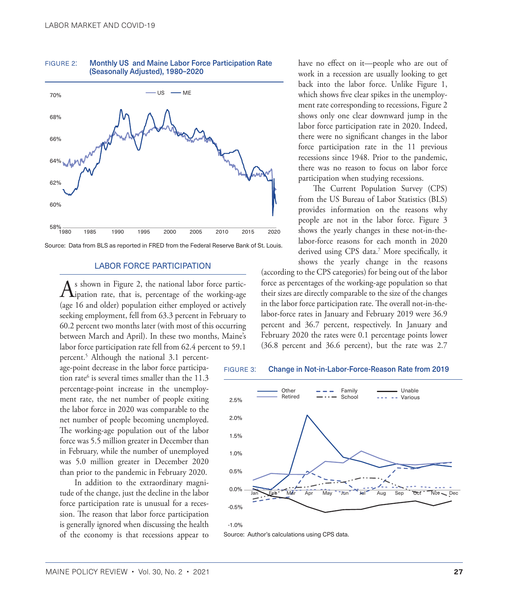

<span id="page-2-0"></span>figure 2: Monthly US and Maine Labor Force Participation Rate (Seasonally Adjusted), 1980–2020

#### LABOR FORCE PARTICIPATION

 $A$ s shown in Figure 2, the national labor force partic-<br>ipation rate, that is, percentage of the working-age (age 16 and older) population either employed or actively seeking employment, fell from 63.3 percent in February to 60.2 percent two months later (with most of this occurring between March and April). In these two months, Maine's labor force participation rate fell from 62.4 percent to 59.1

percent.[5](#page-7-0) Although the national 3.1 percentage-point decrease in the labor force participa-tion rate<sup>[6](#page-7-0)</sup> is several times smaller than the  $11.3$ percentage-point increase in the unemployment rate, the net number of people exiting the labor force in 2020 was comparable to the net number of people becoming unemployed. The working-age population out of the labor force was 5.5 million greater in December than in February, while the number of unemployed was 5.0 million greater in December 2020 than prior to the pandemic in February 2020.

In addition to the extraordinary magnitude of the change, just the decline in the labor force participation rate is unusual for a recession. The reason that labor force participation is generally ignored when discussing the health of the economy is that recessions appear to have no effect on it—people who are out of work in a recession are usually looking to get back into the labor force. Unlike Figure 1, which shows five clear spikes in the unemployment rate corresponding to recessions, Figure 2 shows only one clear downward jump in the labor force participation rate in 2020. Indeed, there were no significant changes in the labor force participation rate in the 11 previous recessions since 1948. Prior to the pandemic, there was no reason to focus on labor force participation when studying recessions.

The Current Population Survey (CPS) from the US Bureau of Labor Statistics (BLS) provides information on the reasons why people are not in the labor force. Figure 3 shows the yearly changes in these not-in-thelabor-force reasons for each month in 2020 derived using CPS data[.7](#page-7-0) More specifically, it shows the yearly change in the reasons

(according to the CPS categories) for being out of the labor force as percentages of the working-age population so that their sizes are directly comparable to the size of the changes in the labor force participation rate. The overall not-in-thelabor-force rates in January and February 2019 were 36.9 percent and 36.7 percent, respectively. In January and February 2020 the rates were 0.1 percentage points lower (36.8 percent and 36.6 percent), but the rate was 2.7





Source: Author's calculations using CPS data.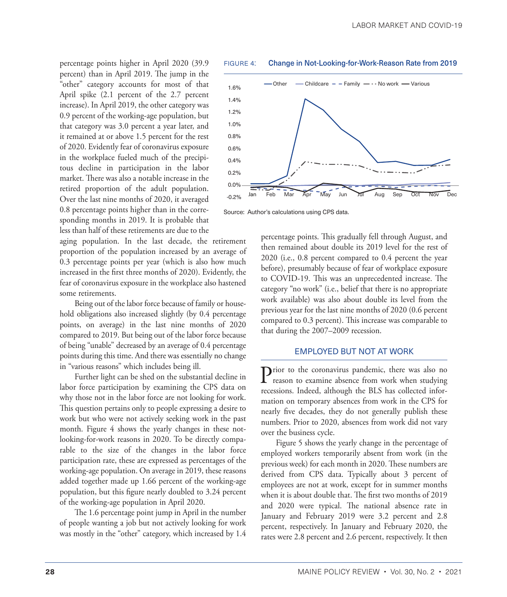percentage points higher in April 2020 (39.9 percent) than in April 2019. The jump in the "other" category accounts for most of that April spike (2.1 percent of the 2.7 percent increase). In April 2019, the other category was 0.9 percent of the working-age population, but that category was 3.0 percent a year later, and it remained at or above 1.5 percent for the rest of 2020. Evidently fear of coronavirus exposure in the workplace fueled much of the precipitous decline in participation in the labor market. There was also a notable increase in the retired proportion of the adult population. Over the last nine months of 2020, it averaged 0.8 percentage points higher than in the corresponding months in 2019. It is probable that less than half of these retirements are due to the

aging population. In the last decade, the retirement proportion of the population increased by an average of 0.3 percentage points per year (which is also how much increased in the first three months of 2020). Evidently, the fear of coronavirus exposure in the workplace also hastened some retirements.

Being out of the labor force because of family or household obligations also increased slightly (by 0.4 percentage points, on average) in the last nine months of 2020 compared to 2019. But being out of the labor force because of being "unable" decreased by an average of 0.4 percentage points during this time. And there was essentially no change in "various reasons" which includes being ill.

Further light can be shed on the substantial decline in labor force participation by examining the CPS data on why those not in the labor force are not looking for work. This question pertains only to people expressing a desire to work but who were not actively seeking work in the past month. Figure 4 shows the yearly changes in these notlooking-for-work reasons in 2020. To be directly comparable to the size of the changes in the labor force participation rate, these are expressed as percentages of the working-age population. On average in 2019, these reasons added together made up 1.66 percent of the working-age population, but this figure nearly doubled to 3.24 percent of the working-age population in April 2020.

The 1.6 percentage point jump in April in the number of people wanting a job but not actively looking for work was mostly in the "other" category, which increased by 1.4





Source: Author's calculations using CPS data.

percentage points. This gradually fell through August, and then remained about double its 2019 level for the rest of 2020 (i.e., 0.8 percent compared to 0.4 percent the year before), presumably because of fear of workplace exposure to COVID-19. This was an unprecedented increase. The category "no work" (i.e., belief that there is no appropriate work available) was also about double its level from the previous year for the last nine months of 2020 (0.6 percent compared to 0.3 percent). This increase was comparable to that during the 2007–2009 recession.

#### EMPLOYED BUT NOT AT WORK

Prior to the coronavirus pandemic, there was also no reason to examine absence from work when studying recessions. Indeed, although the BLS has collected information on temporary absences from work in the CPS for nearly five decades, they do not generally publish these numbers. Prior to 2020, absences from work did not vary over the business cycle.

Figure 5 shows the yearly change in the percentage of employed workers temporarily absent from work (in the previous week) for each month in 2020. These numbers are derived from CPS data. Typically about 3 percent of employees are not at work, except for in summer months when it is about double that. The first two months of 2019 and 2020 were typical. The national absence rate in January and February 2019 were 3.2 percent and 2.8 percent, respectively. In January and February 2020, the rates were 2.8 percent and 2.6 percent, respectively. It then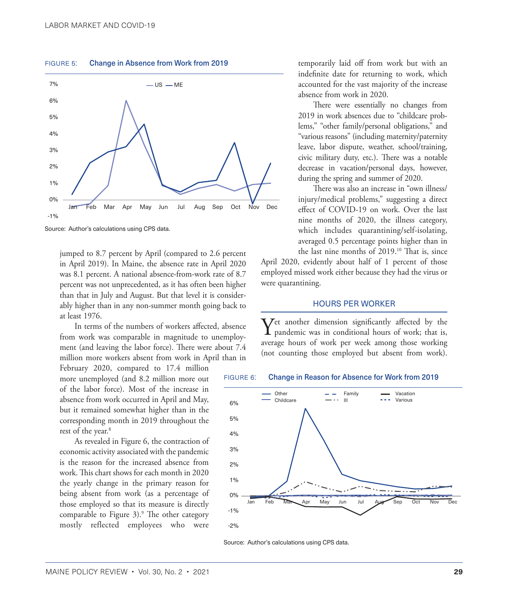<span id="page-4-0"></span>figure 5: Change in Absence from Work from 2019



Source: Author's calculations using CPS data.

jumped to 8.7 percent by April (compared to 2.6 percent in April 2019). In Maine, the absence rate in April 2020 was 8.1 percent. A national absence-from-work rate of 8.7 percent was not unprecedented, as it has often been higher than that in July and August. But that level it is considerably higher than in any non-summer month going back to at least 1976.

In terms of the numbers of workers affected, absence from work was comparable in magnitude to unemployment (and leaving the labor force). There were about 7.4 million more workers absent from work in April than in

February 2020, compared to 17.4 million more unemployed (and 8.2 million more out of the labor force). Most of the increase in absence from work occurred in April and May, but it remained somewhat higher than in the corresponding month in 2019 throughout the rest of the year.<sup>8</sup>

As revealed in Figure 6, the contraction of economic activity associated with the pandemic is the reason for the increased absence from work. This chart shows for each month in 2020 the yearly change in the primary reason for being absent from work (as a percentage of those employed so that its measure is directly comparable to Figure  $3$ ).<sup>[9](#page-8-0)</sup> The other category mostly reflected employees who were

temporarily laid off from work but with an indefinite date for returning to work, which accounted for the vast majority of the increase absence from work in 2020.

There were essentially no changes from 2019 in work absences due to "childcare problems," "other family/personal obligations," and "various reasons" (including maternity/paternity leave, labor dispute, weather, school/training, civic military duty, etc.). There was a notable decrease in vacation/personal days, however, during the spring and summer of 2020.

There was also an increase in "own illness/ injury/medical problems," suggesting a direct effect of COVID-19 on work. Over the last nine months of 2020, the illness category, which includes quarantining/self-isolating, averaged 0.5 percentage points higher than in the last nine months of 2019.<sup>10</sup> That is, since

April 2020, evidently about half of 1 percent of those employed missed work either because they had the virus or were quarantining.

#### HOURS PER WORKER

Yet another dimension significantly affected by the pandemic was in conditional hours of work; that is, average hours of work per week among those working (not counting those employed but absent from work).





Source: Author's calculations using CPS data.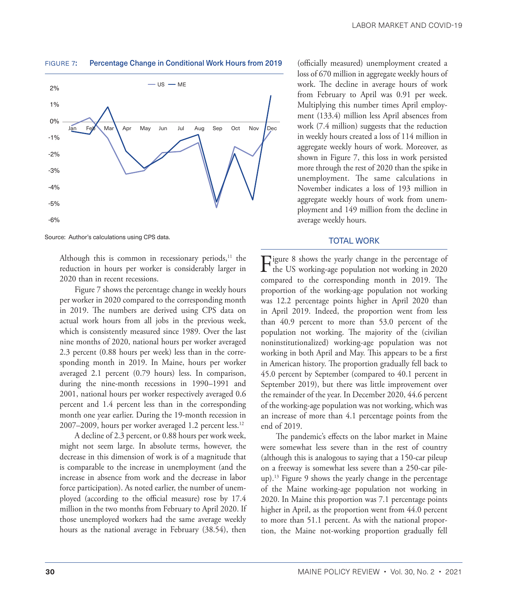

<span id="page-5-0"></span>

Source: Author's calculations using CPS data.

Although this is common in recessionary periods, $11$  the reduction in hours per worker is considerably larger in 2020 than in recent recessions.

Figure 7 shows the percentage change in weekly hours per worker in 2020 compared to the corresponding month in 2019. The numbers are derived using CPS data on actual work hours from all jobs in the previous week, which is consistently measured since 1989. Over the last nine months of 2020, national hours per worker averaged 2.3 percent (0.88 hours per week) less than in the corresponding month in 2019. In Maine, hours per worker averaged 2.1 percent (0.79 hours) less. In comparison, during the nine-month recessions in 1990–1991 and 2001, national hours per worker respectively averaged 0.6 percent and 1.4 percent less than in the corresponding month one year earlier. During the 19-month recession in 2007–2009, hours per worker averaged 1.2 percent less.<sup>[12](#page-8-0)</sup>

A decline of 2.3 percent, or 0.88 hours per work week, might not seem large. In absolute terms, however, the decrease in this dimension of work is of a magnitude that is comparable to the increase in unemployment (and the increase in absence from work and the decrease in labor force participation). As noted earlier, the number of unemployed (according to the official measure) rose by 17.4 million in the two months from February to April 2020. If those unemployed workers had the same average weekly hours as the national average in February (38.54), then

(officially measured) unemployment created a loss of 670 million in aggregate weekly hours of work. The decline in average hours of work from February to April was 0.91 per week. Multiplying this number times April employment (133.4) million less April absences from work (7.4 million) suggests that the reduction in weekly hours created a loss of 114 million in aggregate weekly hours of work. Moreover, as shown in Figure 7, this loss in work persisted more through the rest of 2020 than the spike in unemployment. The same calculations in November indicates a loss of 193 million in aggregate weekly hours of work from unemployment and 149 million from the decline in average weekly hours.

#### TOTAL WORK

Figure 8 shows the yearly change in the percentage of<br>the US working-age population not working in 2020 compared to the corresponding month in 2019. The proportion of the working-age population not working was 12.2 percentage points higher in April 2020 than in April 2019. Indeed, the proportion went from less than 40.9 percent to more than 53.0 percent of the population not working. The majority of the (civilian noninstitutionalized) working-age population was not working in both April and May. This appears to be a first in American history. The proportion gradually fell back to 45.0 percent by September (compared to 40.1 percent in September 2019), but there was little improvement over the remainder of the year. In December 2020, 44.6 percent of the working-age population was not working, which was an increase of more than 4.1 percentage points from the end of 2019.

The pandemic's effects on the labor market in Maine were somewhat less severe than in the rest of country (although this is analogous to saying that a 150-car pileup on a freeway is somewhat less severe than a 250-car pileup).[13](#page-8-0) Figure 9 shows the yearly change in the percentage of the Maine working-age population not working in 2020. In Maine this proportion was 7.1 percentage points higher in April, as the proportion went from 44.0 percent to more than 51.1 percent. As with the national proportion, the Maine not-working proportion gradually fell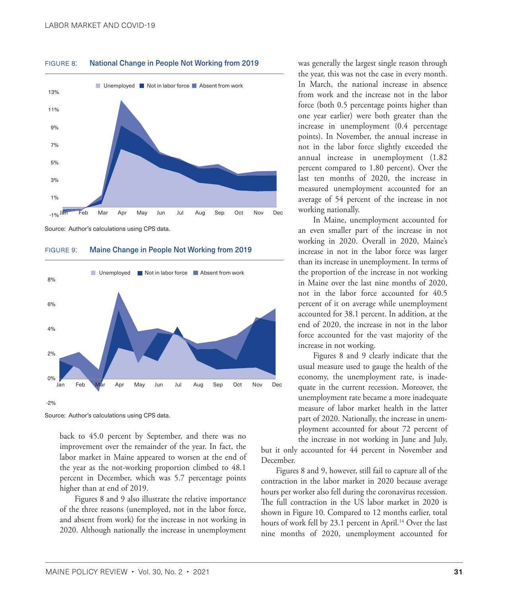

<span id="page-6-0"></span>figure 8: National Change in People Not Working from 2019

Source: Author's calculations using CPS data.

FIGURE 9: Maine Change in People Not Working from 2019



Source: Author's calculations using CPS data.

back to 45.0 percent by September, and there was no improvement over the remainder of the year. In fact, the labor market in Maine appeared to worsen at the end of the year as the not-working proportion climbed to 48.1 percent in December, which was 5.7 percentage points higher than at end of 2019.

Figures 8 and 9 also illustrate the relative importance of the three reasons (unemployed, not in the labor force, and absent from work) for the increase in not working in 2020. Although nationally the increase in unemployment was generally the largest single reason through the year, this was not the case in every month. In March, the national increase in absence from work and the increase not in the labor force (both 0.5 percentage points higher than one year earlier) were both greater than the increase in unemployment (0.4 percentage points). In November, the annual increase in not in the labor force slightly exceeded the annual increase in unemployment (1.82 percent compared to 1.80 percent). Over the last ten months of 2020, the increase in measured unemployment accounted for an average of 54 percent of the increase in not working nationally.

In Maine, unemployment accounted for an even smaller part of the increase in not working in 2020. Overall in 2020, Maine's increase in not in the labor force was larger than its increase in unemployment. In terms of the proportion of the increase in not working in Maine over the last nine months of 2020, not in the labor force accounted for 40.5 percent of it on average while unemployment accounted for 38.1 percent. In addition, at the end of 2020, the increase in not in the labor force accounted for the vast majority of the increase in not working.

Figures 8 and 9 clearly indicate that the usual measure used to gauge the health of the economy, the unemployment rate, is inadequate in the current recession. Moreover, the unemployment rate became a more inadequate measure of labor market health in the latter part of 2020. Nationally, the increase in unemployment accounted for about 72 percent of the increase in not working in June and July,

but it only accounted for 44 percent in November and December.

Figures 8 and 9, however, still fail to capture all of the contraction in the labor market in 2020 because average hours per worker also fell during the coronavirus recession. The full contraction in the US labor market in 2020 is shown in Figure 10. Compared to 12 months earlier, total hours of work fell by 23.1 percent in April.<sup>14</sup> Over the last nine months of 2020, unemployment accounted for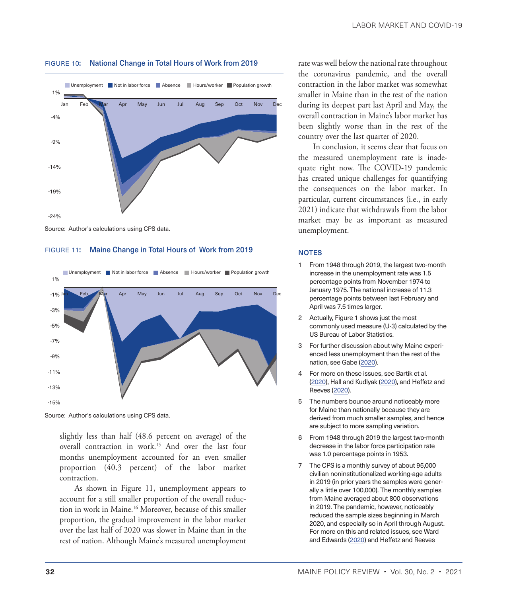

#### <span id="page-7-0"></span>figure 10: National Change in Total Hours of Work from 2019

FIGURE 11: Maine Change in Total Hours of Work from 2019



Source: Author's calculations using CPS data.

slightly less than half (48.6 percent on average) of the overall contraction in work[.15](#page-8-0) And over the last four months unemployment accounted for an even smaller proportion (40.3 percent) of the labor market contraction.

As shown in Figure 11, unemployment appears to account for a still smaller proportion of the overall reduction in work in Maine.[16](#page-8-0) Moreover, because of this smaller proportion, the gradual improvement in the labor market over the last half of 2020 was slower in Maine than in the rest of nation. Although Maine's measured unemployment rate was well below the national rate throughout the coronavirus pandemic, and the overall contraction in the labor market was somewhat smaller in Maine than in the rest of the nation during its deepest part last April and May, the overall contraction in Maine's labor market has been slightly worse than in the rest of the country over the last quarter of 2020.

In conclusion, it seems clear that focus on the measured unemployment rate is inadequate right now. The COVID-19 pandemic has created unique challenges for quantifying the consequences on the labor market. In particular, current circumstances (i.e., in early 2021) indicate that withdrawals from the labor market may be as important as measured unemployment.

#### **NOTES**

- [1](#page-1-0) From 1948 through 2019, the largest two-month increase in the unemployment rate was 1.5 percentage points from November 1974 to January 1975. The national increase of 11.3 percentage points between last February and April was 7.5 times larger.
- [2](#page-1-0) Actually, Figure 1 shows just the most commonly used measure (U-3) calculated by the US Bureau of Labor Statistics.
- [3](#page-1-0) For further discussion about why Maine experienced less unemployment than the rest of the nation, see Gabe [\(2020\)](#page-8-1).
- [4](#page-1-0) For more on these issues, see Bartik et al. ([2020](#page-8-2)), Hall and Kudlyak [\(2020\)](#page-8-3), and Heffetz and Reeves ([2020\)](#page-8-4).
- [5](#page-2-0) The numbers bounce around noticeably more for Maine than nationally because they are derived from much smaller samples, and hence are subject to more sampling variation.
- [6](#page-2-0) From 1948 through 2019 the largest two-month decrease in the labor force participation rate was 1.0 percentage points in 1953.
- [7](#page-2-0) The CPS is a monthly survey of about 95,000 civilian noninstitutionalized working-age adults in 2019 (in prior years the samples were generally a little over 100,000). The monthly samples from Maine averaged about 800 observations in 2019. The pandemic, however, noticeably reduced the sample sizes beginning in March 2020, and especially so in April through August. For more on this and related issues, see Ward and Edwards [\(2020\)](#page-8-5) and Heffetz and Reeves